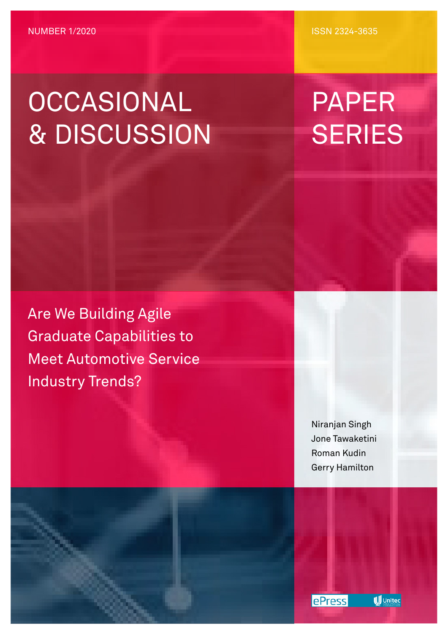# OCCASIONAL & DISCUSSION

ISSN 2324-3635

# PAPER **SERIES**

Are We Building Agile Graduate Capabilities to Meet Automotive Service Industry Trends?

> Niranjan Singh Jone Tawaketini Roman Kudin Gerry Hamilton



**U** Unitec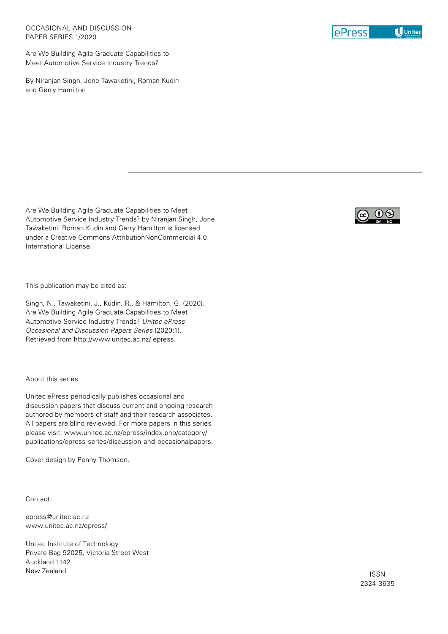Are We Building Agile Graduate Capabilities to Meet Automotive Service Industry Trends?

By Niranjan Singh, Jone Tawaketini, Roman Kudin and Gerry Hamilton

Are We Building Agile Graduate Capabilities to Meet Automotive Service Industry Trends? by Niranjan Singh, Jone Tawaketini, Roman Kudin and Gerry Hamilton is licensed under a Creative Commons AttributionNonCommercial 4.0 International License.

This publication may be cited as:

Singh, N., Tawaketini, J., Kudin. R., & Hamilton, G. (2020). Are We Building Agile Graduate Capabilities to Meet Automotive Service Industry Trends? *Unitec ePress Occasional and Discussion Papers Series* (2020:1). Retrieved from http://www.unitec.ac.nz/ epress.

About this series:

Unitec ePress periodically publishes occasional and discussion papers that discuss current and ongoing research authored by members of staff and their research associates. All papers are blind reviewed. For more papers in this series please visit: www.unitec.ac.nz/epress/index.php/category/ publications/epress-series/discussion-and-occasionalpapers.

Cover design by Penny Thomson.

Contact:

epress@unitec.ac.nz www.unitec.ac.nz/epress/

Unitec Institute of Technology Private Bag 92025, Victoria Street West Auckland 1142 New Zealand



ISSN 2324-3635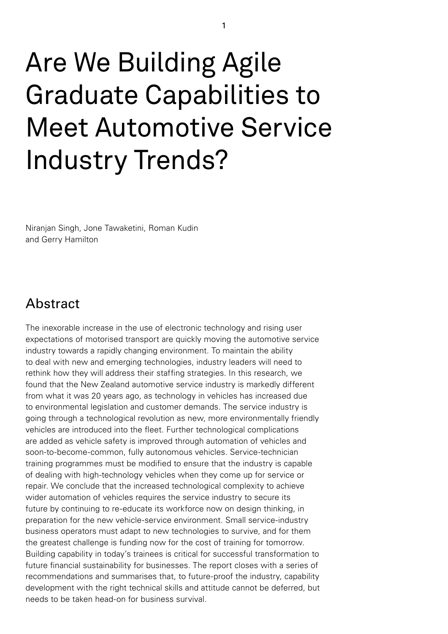# Are We Building Agile Graduate Capabilities to Meet Automotive Service Industry Trends?

Niranjan Singh, Jone Tawaketini, Roman Kudin and Gerry Hamilton

## **Abstract**

The inexorable increase in the use of electronic technology and rising user expectations of motorised transport are quickly moving the automotive service industry towards a rapidly changing environment. To maintain the ability to deal with new and emerging technologies, industry leaders will need to rethink how they will address their staffing strategies. In this research, we found that the New Zealand automotive service industry is markedly different from what it was 20 years ago, as technology in vehicles has increased due to environmental legislation and customer demands. The service industry is going through a technological revolution as new, more environmentally friendly vehicles are introduced into the fleet. Further technological complications are added as vehicle safety is improved through automation of vehicles and soon-to-become-common, fully autonomous vehicles. Service-technician training programmes must be modified to ensure that the industry is capable of dealing with high-technology vehicles when they come up for service or repair. We conclude that the increased technological complexity to achieve wider automation of vehicles requires the service industry to secure its future by continuing to re-educate its workforce now on design thinking, in preparation for the new vehicle-service environment. Small service-industry business operators must adapt to new technologies to survive, and for them the greatest challenge is funding now for the cost of training for tomorrow. Building capability in today's trainees is critical for successful transformation to future financial sustainability for businesses. The report closes with a series of recommendations and summarises that, to future-proof the industry, capability development with the right technical skills and attitude cannot be deferred, but needs to be taken head-on for business survival.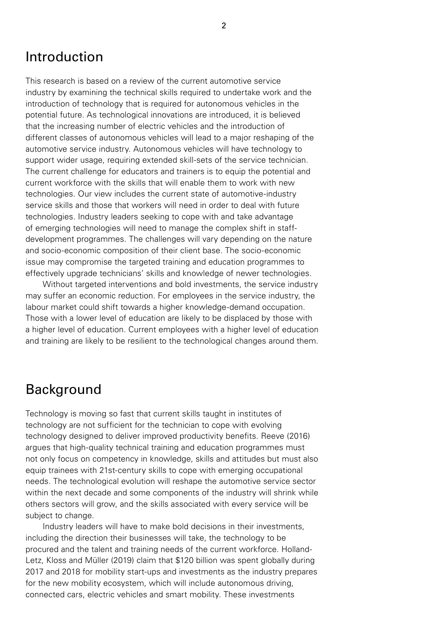## Introduction

This research is based on a review of the current automotive service industry by examining the technical skills required to undertake work and the introduction of technology that is required for autonomous vehicles in the potential future. As technological innovations are introduced, it is believed that the increasing number of electric vehicles and the introduction of different classes of autonomous vehicles will lead to a major reshaping of the automotive service industry. Autonomous vehicles will have technology to support wider usage, requiring extended skill-sets of the service technician. The current challenge for educators and trainers is to equip the potential and current workforce with the skills that will enable them to work with new technologies. Our view includes the current state of automotive-industry service skills and those that workers will need in order to deal with future technologies. Industry leaders seeking to cope with and take advantage of emerging technologies will need to manage the complex shift in staffdevelopment programmes. The challenges will vary depending on the nature and socio-economic composition of their client base. The socio-economic issue may compromise the targeted training and education programmes to effectively upgrade technicians' skills and knowledge of newer technologies.

Without targeted interventions and bold investments, the service industry may suffer an economic reduction. For employees in the service industry, the labour market could shift towards a higher knowledge-demand occupation. Those with a lower level of education are likely to be displaced by those with a higher level of education. Current employees with a higher level of education and training are likely to be resilient to the technological changes around them.

## Background

Technology is moving so fast that current skills taught in institutes of technology are not sufficient for the technician to cope with evolving technology designed to deliver improved productivity benefits. Reeve (2016) argues that high-quality technical training and education programmes must not only focus on competency in knowledge, skills and attitudes but must also equip trainees with 21st-century skills to cope with emerging occupational needs. The technological evolution will reshape the automotive service sector within the next decade and some components of the industry will shrink while others sectors will grow, and the skills associated with every service will be subject to change.

Industry leaders will have to make bold decisions in their investments, including the direction their businesses will take, the technology to be procured and the talent and training needs of the current workforce. Holland-Letz, Kloss and Müller (2019) claim that \$120 billion was spent globally during 2017 and 2018 for mobility start-ups and investments as the industry prepares for the new mobility ecosystem, which will include autonomous driving, connected cars, electric vehicles and smart mobility. These investments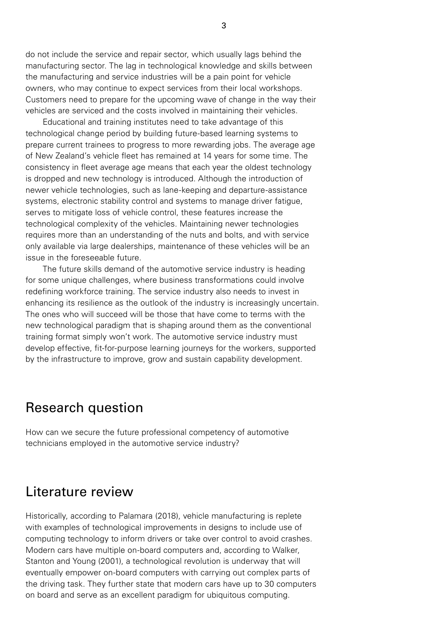do not include the service and repair sector, which usually lags behind the manufacturing sector. The lag in technological knowledge and skills between the manufacturing and service industries will be a pain point for vehicle owners, who may continue to expect services from their local workshops. Customers need to prepare for the upcoming wave of change in the way their vehicles are serviced and the costs involved in maintaining their vehicles.

Educational and training institutes need to take advantage of this technological change period by building future-based learning systems to prepare current trainees to progress to more rewarding jobs. The average age of New Zealand's vehicle fleet has remained at 14 years for some time. The consistency in fleet average age means that each year the oldest technology is dropped and new technology is introduced. Although the introduction of newer vehicle technologies, such as lane-keeping and departure-assistance systems, electronic stability control and systems to manage driver fatigue, serves to mitigate loss of vehicle control, these features increase the technological complexity of the vehicles. Maintaining newer technologies requires more than an understanding of the nuts and bolts, and with service only available via large dealerships, maintenance of these vehicles will be an issue in the foreseeable future.

The future skills demand of the automotive service industry is heading for some unique challenges, where business transformations could involve redefining workforce training. The service industry also needs to invest in enhancing its resilience as the outlook of the industry is increasingly uncertain. The ones who will succeed will be those that have come to terms with the new technological paradigm that is shaping around them as the conventional training format simply won't work. The automotive service industry must develop effective, fit-for-purpose learning journeys for the workers, supported by the infrastructure to improve, grow and sustain capability development.

### Research question

How can we secure the future professional competency of automotive technicians employed in the automotive service industry?

## Literature review

Historically, according to Palamara (2018), vehicle manufacturing is replete with examples of technological improvements in designs to include use of computing technology to inform drivers or take over control to avoid crashes. Modern cars have multiple on-board computers and, according to Walker, Stanton and Young (2001), a technological revolution is underway that will eventually empower on-board computers with carrying out complex parts of the driving task. They further state that modern cars have up to 30 computers on board and serve as an excellent paradigm for ubiquitous computing.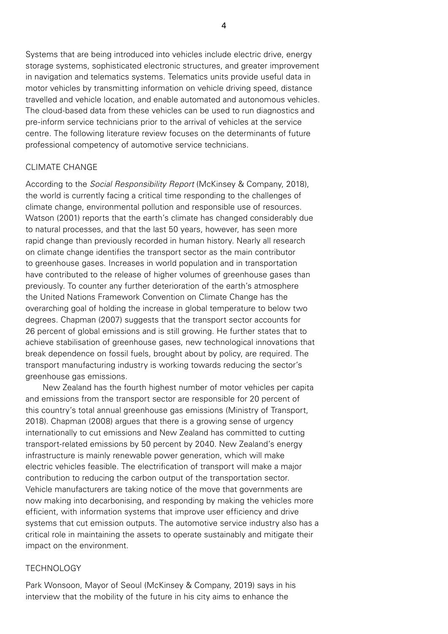Systems that are being introduced into vehicles include electric drive, energy storage systems, sophisticated electronic structures, and greater improvement in navigation and telematics systems. Telematics units provide useful data in motor vehicles by transmitting information on vehicle driving speed, distance travelled and vehicle location, and enable automated and autonomous vehicles. The cloud-based data from these vehicles can be used to run diagnostics and pre-inform service technicians prior to the arrival of vehicles at the service centre. The following literature review focuses on the determinants of future professional competency of automotive service technicians.

#### CLIMATE CHANGE

According to the *Social Responsibility Report* (McKinsey & Company, 2018), the world is currently facing a critical time responding to the challenges of climate change, environmental pollution and responsible use of resources. Watson (2001) reports that the earth's climate has changed considerably due to natural processes, and that the last 50 years, however, has seen more rapid change than previously recorded in human history. Nearly all research on climate change identifies the transport sector as the main contributor to greenhouse gases. Increases in world population and in transportation have contributed to the release of higher volumes of greenhouse gases than previously. To counter any further deterioration of the earth's atmosphere the United Nations Framework Convention on Climate Change has the overarching goal of holding the increase in global temperature to below two degrees. Chapman (2007) suggests that the transport sector accounts for 26 percent of global emissions and is still growing. He further states that to achieve stabilisation of greenhouse gases, new technological innovations that break dependence on fossil fuels, brought about by policy, are required. The transport manufacturing industry is working towards reducing the sector's greenhouse gas emissions.

New Zealand has the fourth highest number of motor vehicles per capita and emissions from the transport sector are responsible for 20 percent of this country's total annual greenhouse gas emissions (Ministry of Transport, 2018). Chapman (2008) argues that there is a growing sense of urgency internationally to cut emissions and New Zealand has committed to cutting transport-related emissions by 50 percent by 2040. New Zealand's energy infrastructure is mainly renewable power generation, which will make electric vehicles feasible. The electrification of transport will make a major contribution to reducing the carbon output of the transportation sector. Vehicle manufacturers are taking notice of the move that governments are now making into decarbonising, and responding by making the vehicles more efficient, with information systems that improve user efficiency and drive systems that cut emission outputs. The automotive service industry also has a critical role in maintaining the assets to operate sustainably and mitigate their impact on the environment.

#### **TECHNOLOGY**

Park Wonsoon, Mayor of Seoul (McKinsey & Company, 2019) says in his interview that the mobility of the future in his city aims to enhance the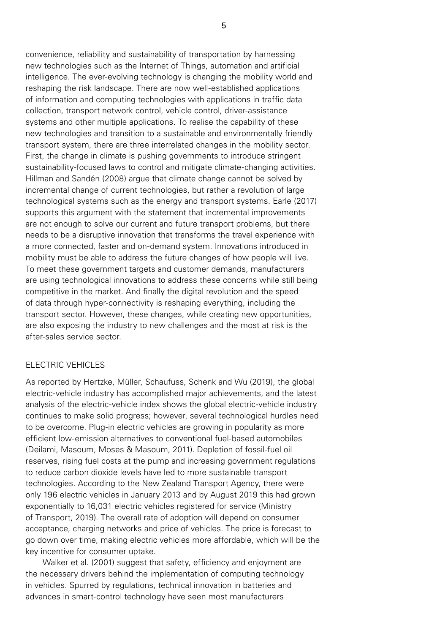convenience, reliability and sustainability of transportation by harnessing new technologies such as the Internet of Things, automation and artificial intelligence. The ever-evolving technology is changing the mobility world and reshaping the risk landscape. There are now well-established applications of information and computing technologies with applications in traffic data collection, transport network control, vehicle control, driver-assistance systems and other multiple applications. To realise the capability of these new technologies and transition to a sustainable and environmentally friendly transport system, there are three interrelated changes in the mobility sector. First, the change in climate is pushing governments to introduce stringent sustainability-focused laws to control and mitigate climate-changing activities. Hillman and Sandén (2008) argue that climate change cannot be solved by incremental change of current technologies, but rather a revolution of large technological systems such as the energy and transport systems. Earle (2017) supports this argument with the statement that incremental improvements are not enough to solve our current and future transport problems, but there needs to be a disruptive innovation that transforms the travel experience with a more connected, faster and on-demand system. Innovations introduced in mobility must be able to address the future changes of how people will live. To meet these government targets and customer demands, manufacturers are using technological innovations to address these concerns while still being competitive in the market. And finally the digital revolution and the speed of data through hyper-connectivity is reshaping everything, including the transport sector. However, these changes, while creating new opportunities, are also exposing the industry to new challenges and the most at risk is the after-sales service sector.

#### ELECTRIC VEHICLES

As reported by Hertzke, Müller, Schaufuss, Schenk and Wu (2019), the global electric-vehicle industry has accomplished major achievements, and the latest analysis of the electric-vehicle index shows the global electric-vehicle industry continues to make solid progress; however, several technological hurdles need to be overcome. Plug-in electric vehicles are growing in popularity as more efficient low-emission alternatives to conventional fuel-based automobiles (Deilami, Masoum, Moses & Masoum, 2011). Depletion of fossil-fuel oil reserves, rising fuel costs at the pump and increasing government regulations to reduce carbon dioxide levels have led to more sustainable transport technologies. According to the New Zealand Transport Agency, there were only 196 electric vehicles in January 2013 and by August 2019 this had grown exponentially to 16,031 electric vehicles registered for service (Ministry of Transport, 2019). The overall rate of adoption will depend on consumer acceptance, charging networks and price of vehicles. The price is forecast to go down over time, making electric vehicles more affordable, which will be the key incentive for consumer uptake.

Walker et al. (2001) suggest that safety, efficiency and enjoyment are the necessary drivers behind the implementation of computing technology in vehicles. Spurred by regulations, technical innovation in batteries and advances in smart-control technology have seen most manufacturers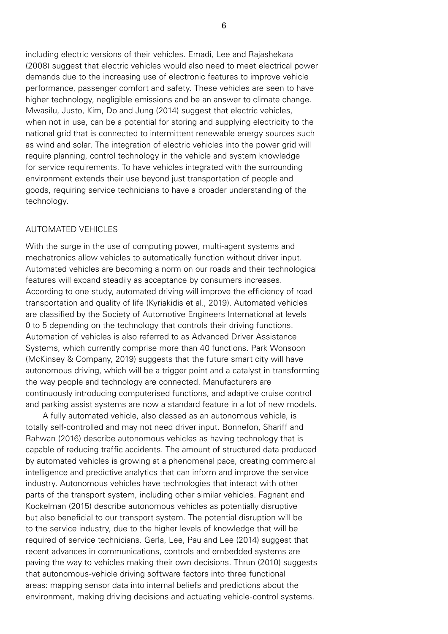including electric versions of their vehicles. Emadi, Lee and Rajashekara (2008) suggest that electric vehicles would also need to meet electrical power demands due to the increasing use of electronic features to improve vehicle performance, passenger comfort and safety. These vehicles are seen to have higher technology, negligible emissions and be an answer to climate change. Mwasilu, Justo, Kim, Do and Jung (2014) suggest that electric vehicles, when not in use, can be a potential for storing and supplying electricity to the national grid that is connected to intermittent renewable energy sources such as wind and solar. The integration of electric vehicles into the power grid will require planning, control technology in the vehicle and system knowledge for service requirements. To have vehicles integrated with the surrounding environment extends their use beyond just transportation of people and goods, requiring service technicians to have a broader understanding of the technology.

#### **AUTOMATED VFHICLES**

With the surge in the use of computing power, multi-agent systems and mechatronics allow vehicles to automatically function without driver input. Automated vehicles are becoming a norm on our roads and their technological features will expand steadily as acceptance by consumers increases. According to one study, automated driving will improve the efficiency of road transportation and quality of life (Kyriakidis et al., 2019). Automated vehicles are classified by the Society of Automotive Engineers International at levels 0 to 5 depending on the technology that controls their driving functions. Automation of vehicles is also referred to as Advanced Driver Assistance Systems, which currently comprise more than 40 functions. Park Wonsoon (McKinsey & Company, 2019) suggests that the future smart city will have autonomous driving, which will be a trigger point and a catalyst in transforming the way people and technology are connected. Manufacturers are continuously introducing computerised functions, and adaptive cruise control and parking assist systems are now a standard feature in a lot of new models.

A fully automated vehicle, also classed as an autonomous vehicle, is totally self-controlled and may not need driver input. Bonnefon, Shariff and Rahwan (2016) describe autonomous vehicles as having technology that is capable of reducing traffic accidents. The amount of structured data produced by automated vehicles is growing at a phenomenal pace, creating commercial intelligence and predictive analytics that can inform and improve the service industry. Autonomous vehicles have technologies that interact with other parts of the transport system, including other similar vehicles. Fagnant and Kockelman (2015) describe autonomous vehicles as potentially disruptive but also beneficial to our transport system. The potential disruption will be to the service industry, due to the higher levels of knowledge that will be required of service technicians. Gerla, Lee, Pau and Lee (2014) suggest that recent advances in communications, controls and embedded systems are paving the way to vehicles making their own decisions. Thrun (2010) suggests that autonomous-vehicle driving software factors into three functional areas: mapping sensor data into internal beliefs and predictions about the environment, making driving decisions and actuating vehicle-control systems.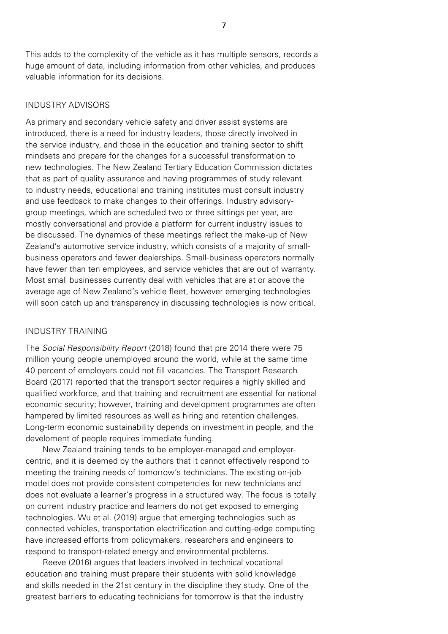This adds to the complexity of the vehicle as it has multiple sensors, records a huge amount of data, including information from other vehicles, and produces valuable information for its decisions.

#### INDUSTRY ADVISORS

As primary and secondary vehicle safety and driver assist systems are introduced, there is a need for industry leaders, those directly involved in the service industry, and those in the education and training sector to shift mindsets and prepare for the changes for a successful transformation to new technologies. The New Zealand Tertiary Education Commission dictates that as part of quality assurance and having programmes of study relevant to industry needs, educational and training institutes must consult industry and use feedback to make changes to their offerings. Industry advisorygroup meetings, which are scheduled two or three sittings per year, are mostly conversational and provide a platform for current industry issues to be discussed. The dynamics of these meetings reflect the make-up of New Zealand's automotive service industry, which consists of a majority of smallbusiness operators and fewer dealerships. Small-business operators normally have fewer than ten employees, and service vehicles that are out of warranty. Most small businesses currently deal with vehicles that are at or above the average age of New Zealand's vehicle fleet, however emerging technologies will soon catch up and transparency in discussing technologies is now critical.

#### INDUSTRY TRAINING

The *Social Responsibility Report* (2018) found that pre 2014 there were 75 million young people unemployed around the world, while at the same time 40 percent of employers could not fill vacancies. The Transport Research Board (2017) reported that the transport sector requires a highly skilled and qualified workforce, and that training and recruitment are essential for national economic security; however, training and development programmes are often hampered by limited resources as well as hiring and retention challenges. Long-term economic sustainability depends on investment in people, and the develoment of people requires immediate funding.

New Zealand training tends to be employer-managed and employercentric, and it is deemed by the authors that it cannot effectively respond to meeting the training needs of tomorrow's technicians. The existing on-job model does not provide consistent competencies for new technicians and does not evaluate a learner's progress in a structured way. The focus is totally on current industry practice and learners do not get exposed to emerging technologies. Wu et al. (2019) argue that emerging technologies such as connected vehicles, transportation electrification and cutting-edge computing have increased efforts from policymakers, researchers and engineers to respond to transport-related energy and environmental problems.

Reeve (2016) argues that leaders involved in technical vocational education and training must prepare their students with solid knowledge and skills needed in the 21st century in the discipline they study. One of the greatest barriers to educating technicians for tomorrow is that the industry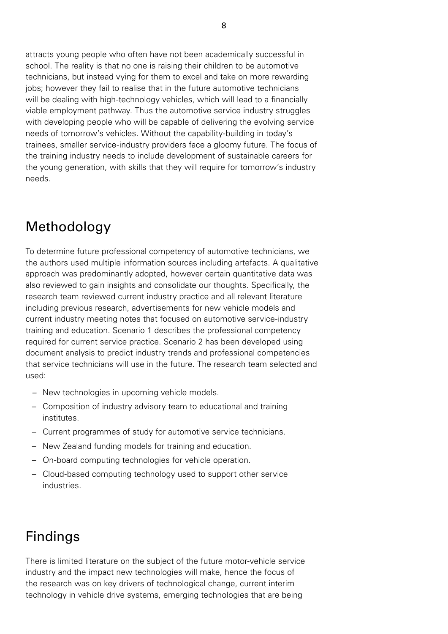attracts young people who often have not been academically successful in school. The reality is that no one is raising their children to be automotive technicians, but instead vying for them to excel and take on more rewarding jobs; however they fail to realise that in the future automotive technicians will be dealing with high-technology vehicles, which will lead to a financially viable employment pathway. Thus the automotive service industry struggles with developing people who will be capable of delivering the evolving service needs of tomorrow's vehicles. Without the capability-building in today's trainees, smaller service-industry providers face a gloomy future. The focus of the training industry needs to include development of sustainable careers for the young generation, with skills that they will require for tomorrow's industry needs.

# Methodology

To determine future professional competency of automotive technicians, we the authors used multiple information sources including artefacts. A qualitative approach was predominantly adopted, however certain quantitative data was also reviewed to gain insights and consolidate our thoughts. Specifically, the research team reviewed current industry practice and all relevant literature including previous research, advertisements for new vehicle models and current industry meeting notes that focused on automotive service-industry training and education. Scenario 1 describes the professional competency required for current service practice. Scenario 2 has been developed using document analysis to predict industry trends and professional competencies that service technicians will use in the future. The research team selected and used:

- *–* New technologies in upcoming vehicle models.
- Composition of industry advisory team to educational and training institutes.
- Current programmes of study for automotive service technicians.
- New Zealand funding models for training and education.
- On-board computing technologies for vehicle operation.
- Cloud-based computing technology used to support other service industries.

# Findings

There is limited literature on the subject of the future motor-vehicle service industry and the impact new technologies will make, hence the focus of the research was on key drivers of technological change, current interim technology in vehicle drive systems, emerging technologies that are being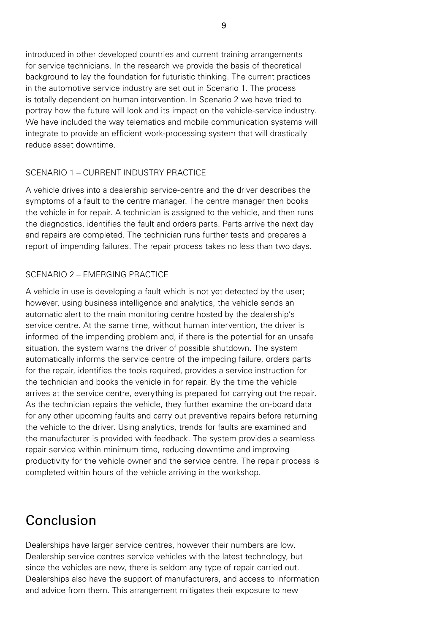introduced in other developed countries and current training arrangements for service technicians. In the research we provide the basis of theoretical background to lay the foundation for futuristic thinking. The current practices in the automotive service industry are set out in Scenario 1. The process is totally dependent on human intervention. In Scenario 2 we have tried to portray how the future will look and its impact on the vehicle-service industry. We have included the way telematics and mobile communication systems will integrate to provide an efficient work-processing system that will drastically reduce asset downtime.

#### SCENARIO 1 – CURRENT INDUSTRY PRACTICE

A vehicle drives into a dealership service-centre and the driver describes the symptoms of a fault to the centre manager. The centre manager then books the vehicle in for repair. A technician is assigned to the vehicle, and then runs the diagnostics, identifies the fault and orders parts. Parts arrive the next day and repairs are completed. The technician runs further tests and prepares a report of impending failures. The repair process takes no less than two days.

#### SCENARIO 2 – EMERGING PRACTICE

A vehicle in use is developing a fault which is not yet detected by the user; however, using business intelligence and analytics, the vehicle sends an automatic alert to the main monitoring centre hosted by the dealership's service centre. At the same time, without human intervention, the driver is informed of the impending problem and, if there is the potential for an unsafe situation, the system warns the driver of possible shutdown. The system automatically informs the service centre of the impeding failure, orders parts for the repair, identifies the tools required, provides a service instruction for the technician and books the vehicle in for repair. By the time the vehicle arrives at the service centre, everything is prepared for carrying out the repair. As the technician repairs the vehicle, they further examine the on-board data for any other upcoming faults and carry out preventive repairs before returning the vehicle to the driver. Using analytics, trends for faults are examined and the manufacturer is provided with feedback. The system provides a seamless repair service within minimum time, reducing downtime and improving productivity for the vehicle owner and the service centre. The repair process is completed within hours of the vehicle arriving in the workshop.

# Conclusion

Dealerships have larger service centres, however their numbers are low. Dealership service centres service vehicles with the latest technology, but since the vehicles are new, there is seldom any type of repair carried out. Dealerships also have the support of manufacturers, and access to information and advice from them. This arrangement mitigates their exposure to new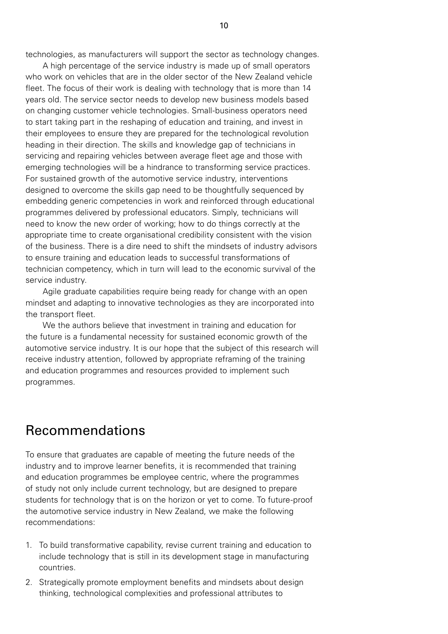technologies, as manufacturers will support the sector as technology changes.

A high percentage of the service industry is made up of small operators who work on vehicles that are in the older sector of the New Zealand vehicle fleet. The focus of their work is dealing with technology that is more than 14 years old. The service sector needs to develop new business models based on changing customer vehicle technologies. Small-business operators need to start taking part in the reshaping of education and training, and invest in their employees to ensure they are prepared for the technological revolution heading in their direction. The skills and knowledge gap of technicians in servicing and repairing vehicles between average fleet age and those with emerging technologies will be a hindrance to transforming service practices. For sustained growth of the automotive service industry, interventions designed to overcome the skills gap need to be thoughtfully sequenced by embedding generic competencies in work and reinforced through educational programmes delivered by professional educators. Simply, technicians will need to know the new order of working; how to do things correctly at the appropriate time to create organisational credibility consistent with the vision of the business. There is a dire need to shift the mindsets of industry advisors to ensure training and education leads to successful transformations of technician competency, which in turn will lead to the economic survival of the service industry.

Agile graduate capabilities require being ready for change with an open mindset and adapting to innovative technologies as they are incorporated into the transport fleet.

We the authors believe that investment in training and education for the future is a fundamental necessity for sustained economic growth of the automotive service industry. It is our hope that the subject of this research will receive industry attention, followed by appropriate reframing of the training and education programmes and resources provided to implement such programmes.

### Recommendations

To ensure that graduates are capable of meeting the future needs of the industry and to improve learner benefits, it is recommended that training and education programmes be employee centric, where the programmes of study not only include current technology, but are designed to prepare students for technology that is on the horizon or yet to come. To future-proof the automotive service industry in New Zealand, we make the following recommendations:

- 1. To build transformative capability, revise current training and education to include technology that is still in its development stage in manufacturing countries.
- 2. Strategically promote employment benefits and mindsets about design thinking, technological complexities and professional attributes to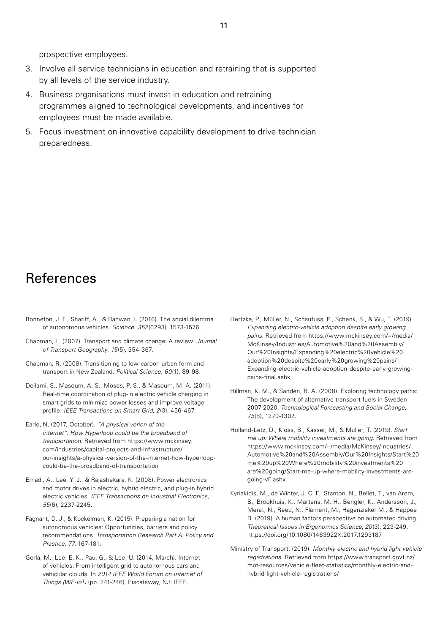prospective employees.

- 3. Involve all service technicians in education and retraining that is supported by all levels of the service industry.
- 4. Business organisations must invest in education and retraining programmes aligned to technological developments, and incentives for employees must be made available.
- 5. Focus investment on innovative capability development to drive technician preparedness.

## References

- Bonnefon, J. F., Shariff, A., & Rahwan, I. (2016). The social dilemma of autonomous vehicles. *Science*, *352*(6293), 1573-1576.
- Chapman, L. (2007). Transport and climate change: A review. *Journal of Transport Geography*, *15*(5), 354-367.
- Chapman, R. (2008). Transitioning to low-carbon urban form and transport in New Zealand. *Political Science*, *60*(1), 89-98.
- Deilami, S., Masoum, A. S., Moses, P. S., & Masoum, M. A. (2011). Real-time coordination of plug-in electric vehicle charging in smart grids to minimize power losses and improve voltage profile. *IEEE Transactions on Smart Grid*, *2*(3), 456-467.
- Earle, N. (2017, October). *"A physical verion of the internet": How Hyperloop could be the broadband of transportation.* Retrieved from https://www.mckinsey. com/industries/capital-projects-and-infrastructure/ our-insights/a-physical-version-of-the-internet-how-hyperloopcould-be-the-broadband-of-transportation
- Emadi, A., Lee, Y. J., & Rajashekara, K. (2008). Power electronics and motor drives in electric, hybrid electric, and plug-in hybrid electric vehicles. *IEEE Transactions on Industrial Electronics*, *55*(6), 2237-2245.
- Fagnant, D. J., & Kockelman, K. (2015). Preparing a nation for autonomous vehicles: Opportunities, barriers and policy recommendations. *Transportation Research Part A: Policy and Practice*, *77*, 167-181.
- Gerla, M., Lee, E. K., Pau, G., & Lee, U. (2014, March). Internet of vehicles: From intelligent grid to autonomous cars and vehicular clouds. In *2014 IEEE World Forum on Internet of Things (WF-IoT)* (pp. 241-246). Piscataway, NJ: IEEE.
- Hertzke, P., Müller, N., Schaufuss, P., Schenk, S., & Wu, T. (2019). *Expanding electric-vehicle adoption despite early growing pains.* Retrieved from https://www.mckinsey.com/~/media/ McKinsey/Industries/Automotive%20and%20Assembly/ Our%20Insights/Expanding%20electric%20vehicle%20 adoption%20despite%20early%20growing%20pains/ Expanding-electric-vehicle-adoption-despite-early-growingpains-final.ashx
- Hillman, K. M., & Sandén, B. A. (2008). Exploring technology paths: The development of alternative transport fuels in Sweden 2007-2020. *Technological Forecasting and Social Change*, *75*(8), 1279-1302.
- Holland-Letz, D., Kloss, B., Kässer, M., & Müller, T. (2019). *Start me up: Where mobility investments are going*. Retrieved from https://www.mckinsey.com/~/media/McKinsey/Industries/ Automotive%20and%20Assembly/Our%20Insights/Start%20 me%20up%20Where%20mobility%20investments%20 are%20going/Start-me-up-where-mobility-investments-aregoing-vF.ashx
- Kyriakidis, M., de Winter, J. C. F., Stanton, N., Bellet, T., van Arem, B., Brookhuis, K., Martens, M. H., Bengler, K., Andersson, J., Merat, N., Reed, N., Flament, M., Hagenzieker M., & Happee R. (2019). A human factors perspective on automated driving. *Theoretical Issues in Ergonomics Science*, *20*(3), 223-249. https://doi.org/10.1080/1463922X.2017.1293187
- Ministry of Transport. (2019). *Monthly electric and hybrid light vehicle registrations*. Retrieved from https://www.transport.govt.nz/ [mot-resources/vehicle-fleet-statistics/monthly-electric-and](https://www.transport.govt.nz/mot-resources/vehicle-fleet-statistics/monthly-electric-and-hybrid-light-vehicle-registrations/)hybrid-light-vehicle-registrations/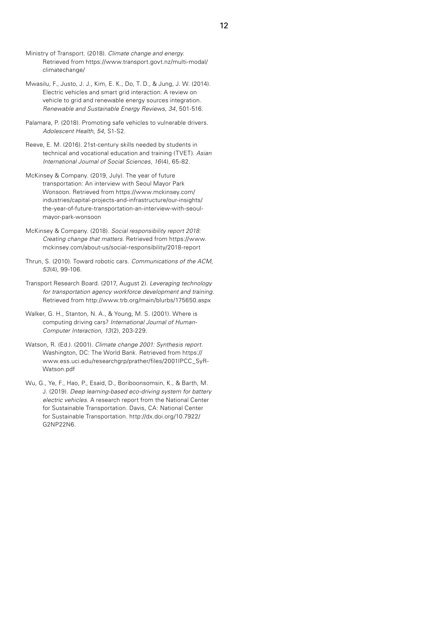- Ministry of Transport. (2018). *Climate change and energy*. Retrieved from https://www.transport.govt.nz/multi-modal/ climatechange/
- Mwasilu, F., Justo, J. J., Kim, E. K., Do, T. D., & Jung, J. W. (2014). Electric vehicles and smart grid interaction: A review on vehicle to grid and renewable energy sources integration. *Renewable and Sustainable Energy Reviews*, *34*, 501-516.
- Palamara, P. (2018). Promoting safe vehicles to vulnerable drivers. *Adolescent Health*, *54*, S1-S2.
- Reeve, E. M. (2016). 21st-century skills needed by students in technical and vocational education and training (TVET). *Asian International Journal of Social Sciences*, *16*(4), 65-82.
- McKinsey & Company. (2019, July). The year of future transportation: An interview with Seoul Mayor Park Wonsoon. Retrieved from https://www.mckinsey.com/ industries/capital-projects-and-infrastructure/our-insights/ the-year-of-future-transportation-an-interview-with-seoulmayor-park-wonsoon
- McKinsey & Company. (2018). *Social responsibility report 2018: Creating change that matters*. Retrieved from https://www. mckinsey.com/about-us/social-responsibility/2018-report
- Thrun, S. (2010). Toward robotic cars. *Communications of the ACM, 53*(4), 99-106.
- Transport Research Board. (2017, August 2). *Leveraging technology for transportation agency workforce development and training*. Retrieved from http://www.trb.org/main/blurbs/175650.aspx
- Walker, G. H., Stanton, N. A., & Young, M. S. (2001). Where is computing driving cars? *International Journal of Human-Computer Interaction*, *13*(2), 203-229.
- Watson, R. (Ed.). (2001). *Climate change 2001: Synthesis report*. Washington, DC: The World Bank. Retrieved from https:// www.ess.uci.edu/researchgrp/prather/files/2001IPCC\_SyR-Watson.pdf
- Wu, G., Ye, F., Hao, P., Esaid, D., Boriboonsomsin, K., & Barth, M. J. (2019). *Deep learning-based eco-driving system for battery electric vehicles.* A research report from the National Center for Sustainable Transportation. Davis, CA: National Center for Sustainable Transportation. http://dx.doi.org/10.7922/ G2NP22N6.